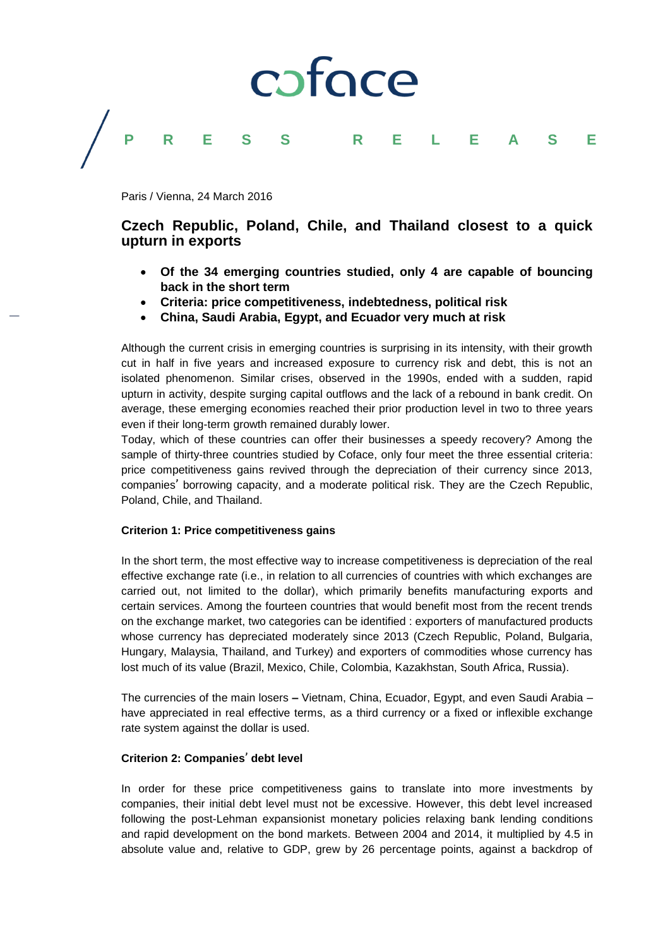

### **PRESS RELEASE**

Paris / Vienna, 24 March 2016

### **Czech Republic, Poland, Chile, and Thailand closest to a quick upturn in exports**

- **Of the 34 emerging countries studied, only 4 are capable of bouncing back in the short term**
- **Criteria: price competitiveness, indebtedness, political risk**
- **China, Saudi Arabia, Egypt, and Ecuador very much at risk**

Although the current crisis in emerging countries is surprising in its intensity, with their growth cut in half in five years and increased exposure to currency risk and debt, this is not an isolated phenomenon. Similar crises, observed in the 1990s, ended with a sudden, rapid upturn in activity, despite surging capital outflows and the lack of a rebound in bank credit. On average, these emerging economies reached their prior production level in two to three years even if their long-term growth remained durably lower.

Today, which of these countries can offer their businesses a speedy recovery? Among the sample of thirty-three countries studied by Coface, only four meet the three essential criteria: price competitiveness gains revived through the depreciation of their currency since 2013, companies' borrowing capacity, and a moderate political risk. They are the Czech Republic, Poland, Chile, and Thailand.

### **Criterion 1: Price competitiveness gains**

In the short term, the most effective way to increase competitiveness is depreciation of the real effective exchange rate (i.e., in relation to all currencies of countries with which exchanges are carried out, not limited to the dollar), which primarily benefits manufacturing exports and certain services. Among the fourteen countries that would benefit most from the recent trends on the exchange market, two categories can be identified : exporters of manufactured products whose currency has depreciated moderately since 2013 (Czech Republic, Poland, Bulgaria, Hungary, Malaysia, Thailand, and Turkey) and exporters of commodities whose currency has lost much of its value (Brazil, Mexico, Chile, Colombia, Kazakhstan, South Africa, Russia).

The currencies of the main losers **–** Vietnam, China, Ecuador, Egypt, and even Saudi Arabia – have appreciated in real effective terms, as a third currency or a fixed or inflexible exchange rate system against the dollar is used.

### **Criterion 2: Companies**' **debt level**

In order for these price competitiveness gains to translate into more investments by companies, their initial debt level must not be excessive. However, this debt level increased following the post-Lehman expansionist monetary policies relaxing bank lending conditions and rapid development on the bond markets. Between 2004 and 2014, it multiplied by 4.5 in absolute value and, relative to GDP, grew by 26 percentage points, against a backdrop of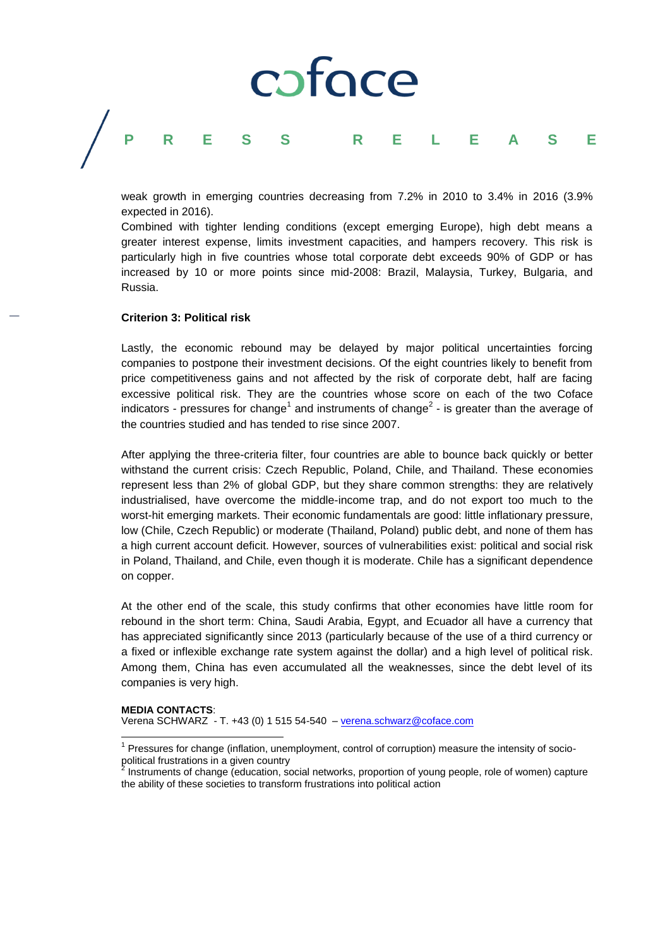## caface **PRESS RELEASE**

weak growth in emerging countries decreasing from 7.2% in 2010 to 3.4% in 2016 (3.9% expected in 2016).

Combined with tighter lending conditions (except emerging Europe), high debt means a greater interest expense, limits investment capacities, and hampers recovery. This risk is particularly high in five countries whose total corporate debt exceeds 90% of GDP or has increased by 10 or more points since mid-2008: Brazil, Malaysia, Turkey, Bulgaria, and Russia.

#### **Criterion 3: Political risk**

 $\overline{\phantom{a}}$ 

Lastly, the economic rebound may be delayed by major political uncertainties forcing companies to postpone their investment decisions. Of the eight countries likely to benefit from price competitiveness gains and not affected by the risk of corporate debt, half are facing excessive political risk. They are the countries whose score on each of the two Coface indicators - pressures for change<sup>1</sup> and instruments of change<sup>2</sup> - is greater than the average of the countries studied and has tended to rise since 2007.

After applying the three-criteria filter, four countries are able to bounce back quickly or better withstand the current crisis: Czech Republic, Poland, Chile, and Thailand. These economies represent less than 2% of global GDP, but they share common strengths: they are relatively industrialised, have overcome the middle-income trap, and do not export too much to the worst-hit emerging markets. Their economic fundamentals are good: little inflationary pressure, low (Chile, Czech Republic) or moderate (Thailand, Poland) public debt, and none of them has a high current account deficit. However, sources of vulnerabilities exist: political and social risk in Poland, Thailand, and Chile, even though it is moderate. Chile has a significant dependence on copper.

At the other end of the scale, this study confirms that other economies have little room for rebound in the short term: China, Saudi Arabia, Egypt, and Ecuador all have a currency that has appreciated significantly since 2013 (particularly because of the use of a third currency or a fixed or inflexible exchange rate system against the dollar) and a high level of political risk. Among them, China has even accumulated all the weaknesses, since the debt level of its companies is very high.

**MEDIA CONTACTS**: Verena SCHWARZ - T. +43 (0) 1 515 54-540 – [verena.schwarz@coface.com](mailto:verena.schwarz@coface.com)

<sup>1</sup> Pressures for change (inflation, unemployment, control of corruption) measure the intensity of sociopolitical frustrations in a given country 2

Instruments of change (education, social networks, proportion of young people, role of women) capture the ability of these societies to transform frustrations into political action